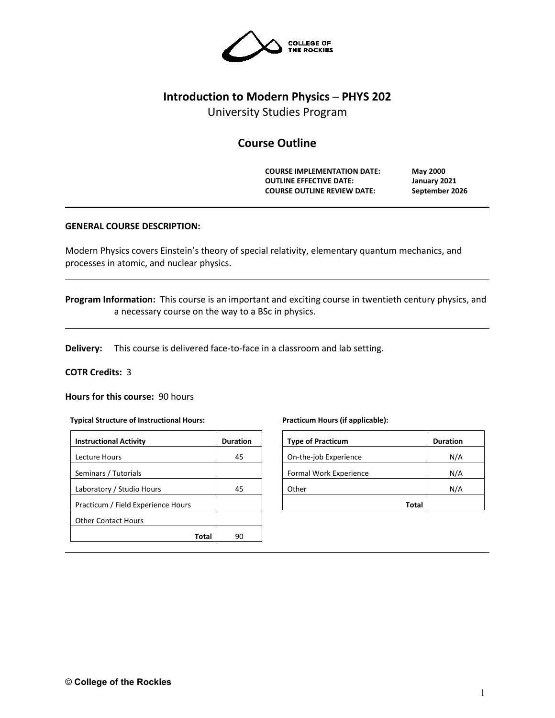

## **Introduction to Modern Physics ─ PHYS 202**

University Studies Program

# **Course Outline**

**COURSE IMPLEMENTATION DATE: May 2000 OUTLINE EFFECTIVE DATE: January 2021 COURSE OUTLINE REVIEW DATE: September 2026**

### **GENERAL COURSE DESCRIPTION:**

Modern Physics covers Einstein's theory of special relativity, elementary quantum mechanics, and processes in atomic, and nuclear physics.

**Program Information:** This course is an important and exciting course in twentieth century physics, and a necessary course on the way to a BSc in physics.

**Delivery:** This course is delivered face-to-face in a classroom and lab setting.

### **COTR Credits:** 3

**Hours for this course:** 90 hours

#### **Typical Structure of Instructional Hours:**

| <b>Instructional Activity</b>      | <b>Duration</b> |
|------------------------------------|-----------------|
| Lecture Hours                      | 45              |
| Seminars / Tutorials               |                 |
| Laboratory / Studio Hours          | 45              |
| Practicum / Field Experience Hours |                 |
| <b>Other Contact Hours</b>         |                 |
| Total                              | 90              |

#### **Practicum Hours (if applicable):**

| <b>Type of Practicum</b> | <b>Duration</b> |
|--------------------------|-----------------|
| On-the-job Experience    | N/A             |
| Formal Work Experience   | N/A             |
| Other                    | N/A             |
| Total                    |                 |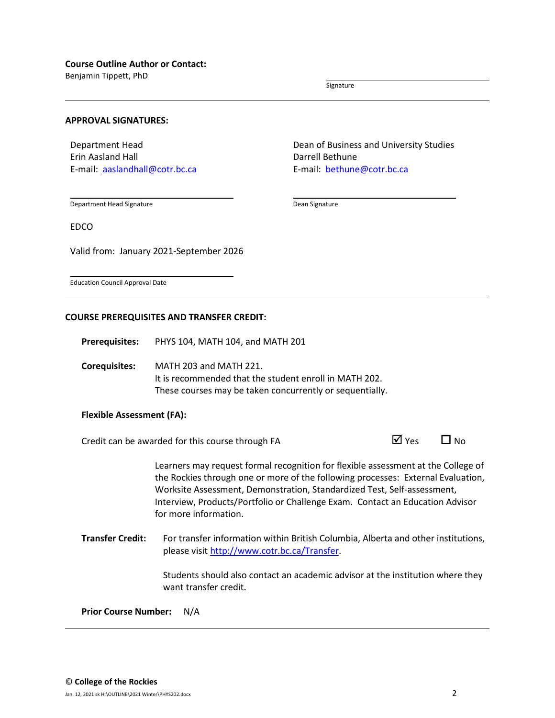Benjamin Tippett, PhD

Signature

### **APPROVAL SIGNATURES:**

Department Head Erin Aasland Hall E-mail: [aaslandhall@cotr.bc.ca](mailto:aaslandhall@cotr.bc.ca) Dean of Business and University Studies Darrell Bethune E-mail: [bethune@cotr.bc.ca](mailto:bethune@cotr.bc.ca)

Department Head Signature

Dean Signature

EDCO

Valid from: January 2021-September 2026

Education Council Approval Date

### **COURSE PREREQUISITES AND TRANSFER CREDIT:**

**Prerequisites:** PHYS 104, MATH 104, and MATH 201

**Corequisites:** MATH 203 and MATH 221. It is recommended that the student enroll in MATH 202. These courses may be taken concurrently or sequentially.

### **Flexible Assessment (FA):**

Credit can be awarded for this course through FA  $\Box$  Yes  $\Box$  No

Learners may request formal recognition for flexible assessment at the College of the Rockies through one or more of the following processes: External Evaluation, Worksite Assessment, Demonstration, Standardized Test, Self-assessment, Interview, Products/Portfolio or Challenge Exam. Contact an Education Advisor for more information.

**Transfer Credit:** For transfer information within British Columbia, Alberta and other institutions, please visit [http://www.cotr.bc.ca/Transfer.](http://www.cotr.bc.ca/Transfer)

> Students should also contact an academic advisor at the institution where they want transfer credit.

**Prior Course Number:** N/A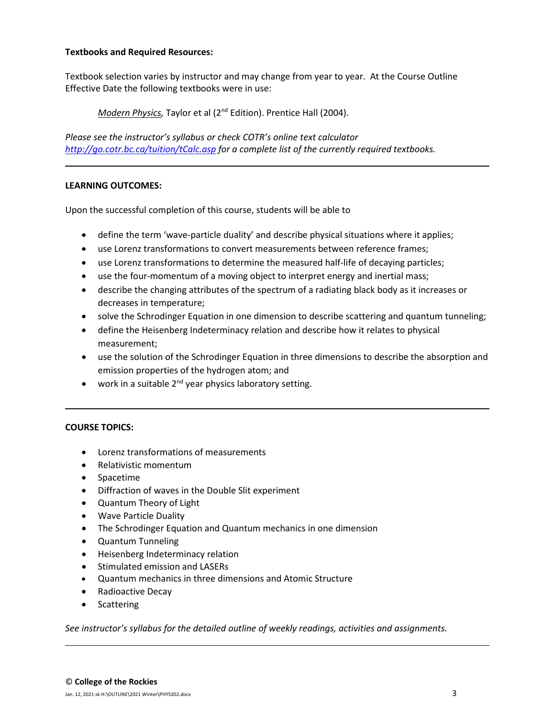### **Textbooks and Required Resources:**

Textbook selection varies by instructor and may change from year to year. At the Course Outline Effective Date the following textbooks were in use:

*Modern Physics,* Taylor et al (2nd Edition). Prentice Hall (2004).

*Please see the instructor's syllabus or check COTR's online text calculator <http://go.cotr.bc.ca/tuition/tCalc.asp> for a complete list of the currently required textbooks.*

## **LEARNING OUTCOMES:**

Upon the successful completion of this course, students will be able to

- define the term 'wave-particle duality' and describe physical situations where it applies;
- use Lorenz transformations to convert measurements between reference frames;
- use Lorenz transformations to determine the measured half-life of decaying particles;
- use the four-momentum of a moving object to interpret energy and inertial mass;
- describe the changing attributes of the spectrum of a radiating black body as it increases or decreases in temperature;
- solve the Schrodinger Equation in one dimension to describe scattering and quantum tunneling;
- define the Heisenberg Indeterminacy relation and describe how it relates to physical measurement;
- use the solution of the Schrodinger Equation in three dimensions to describe the absorption and emission properties of the hydrogen atom; and
- work in a suitable  $2^{nd}$  year physics laboratory setting.

### **COURSE TOPICS:**

- Lorenz transformations of measurements
- Relativistic momentum
- Spacetime
- Diffraction of waves in the Double Slit experiment
- Quantum Theory of Light
- Wave Particle Duality
- The Schrodinger Equation and Quantum mechanics in one dimension
- Quantum Tunneling
- Heisenberg Indeterminacy relation
- Stimulated emission and LASERs
- Quantum mechanics in three dimensions and Atomic Structure
- Radioactive Decay
- Scattering

*See instructor's syllabus for the detailed outline of weekly readings, activities and assignments.*